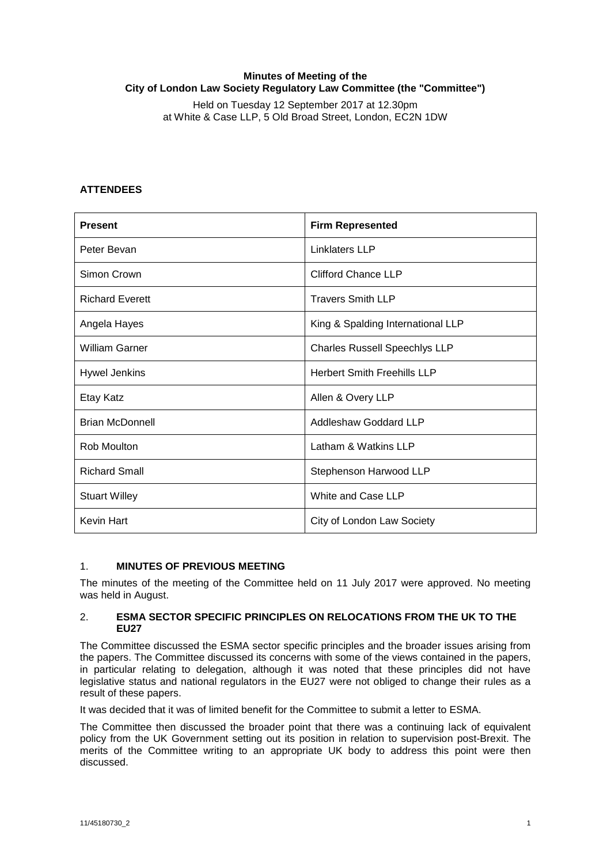## **Minutes of Meeting of the City of London Law Society Regulatory Law Committee (the "Committee")**

Held on Tuesday 12 September 2017 at 12.30pm at White & Case LLP, 5 Old Broad Street, London, EC2N 1DW

# **ATTENDEES**

| <b>Present</b>         | <b>Firm Represented</b>              |
|------------------------|--------------------------------------|
| Peter Bevan            | <b>Linklaters LLP</b>                |
| Simon Crown            | Clifford Chance LLP                  |
| <b>Richard Everett</b> | <b>Travers Smith LLP</b>             |
| Angela Hayes           | King & Spalding International LLP    |
| <b>William Garner</b>  | <b>Charles Russell Speechlys LLP</b> |
| <b>Hywel Jenkins</b>   | <b>Herbert Smith Freehills LLP</b>   |
| Etay Katz              | Allen & Overy LLP                    |
| <b>Brian McDonnell</b> | <b>Addleshaw Goddard LLP</b>         |
| Rob Moulton            | Latham & Watkins LLP                 |
| <b>Richard Small</b>   | Stephenson Harwood LLP               |
| <b>Stuart Willey</b>   | White and Case LLP                   |
| <b>Kevin Hart</b>      | City of London Law Society           |

#### 1. **MINUTES OF PREVIOUS MEETING**

The minutes of the meeting of the Committee held on 11 July 2017 were approved. No meeting was held in August.

#### 2. **ESMA SECTOR SPECIFIC PRINCIPLES ON RELOCATIONS FROM THE UK TO THE EU27**

The Committee discussed the ESMA sector specific principles and the broader issues arising from the papers. The Committee discussed its concerns with some of the views contained in the papers, in particular relating to delegation, although it was noted that these principles did not have legislative status and national regulators in the EU27 were not obliged to change their rules as a result of these papers.

It was decided that it was of limited benefit for the Committee to submit a letter to ESMA.

The Committee then discussed the broader point that there was a continuing lack of equivalent policy from the UK Government setting out its position in relation to supervision post-Brexit. The merits of the Committee writing to an appropriate UK body to address this point were then discussed.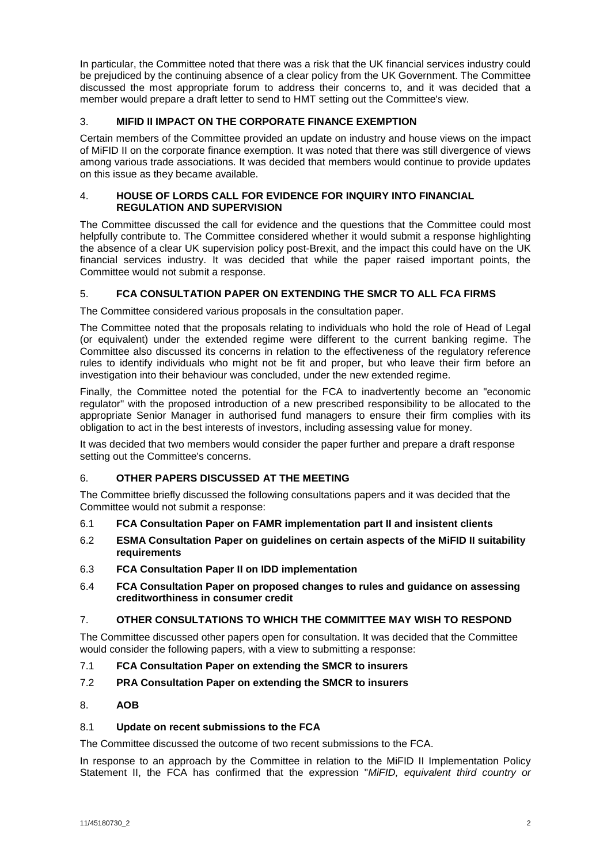In particular, the Committee noted that there was a risk that the UK financial services industry could be prejudiced by the continuing absence of a clear policy from the UK Government. The Committee discussed the most appropriate forum to address their concerns to, and it was decided that a member would prepare a draft letter to send to HMT setting out the Committee's view.

## 3. **MIFID II IMPACT ON THE CORPORATE FINANCE EXEMPTION**

Certain members of the Committee provided an update on industry and house views on the impact of MiFID II on the corporate finance exemption. It was noted that there was still divergence of views among various trade associations. It was decided that members would continue to provide updates on this issue as they became available.

## 4. **HOUSE OF LORDS CALL FOR EVIDENCE FOR INQUIRY INTO FINANCIAL REGULATION AND SUPERVISION**

The Committee discussed the call for evidence and the questions that the Committee could most helpfully contribute to. The Committee considered whether it would submit a response highlighting the absence of a clear UK supervision policy post-Brexit, and the impact this could have on the UK financial services industry. It was decided that while the paper raised important points, the Committee would not submit a response.

## 5. **FCA CONSULTATION PAPER ON EXTENDING THE SMCR TO ALL FCA FIRMS**

The Committee considered various proposals in the consultation paper.

The Committee noted that the proposals relating to individuals who hold the role of Head of Legal (or equivalent) under the extended regime were different to the current banking regime. The Committee also discussed its concerns in relation to the effectiveness of the regulatory reference rules to identify individuals who might not be fit and proper, but who leave their firm before an investigation into their behaviour was concluded, under the new extended regime.

Finally, the Committee noted the potential for the FCA to inadvertently become an "economic regulator" with the proposed introduction of a new prescribed responsibility to be allocated to the appropriate Senior Manager in authorised fund managers to ensure their firm complies with its obligation to act in the best interests of investors, including assessing value for money.

It was decided that two members would consider the paper further and prepare a draft response setting out the Committee's concerns.

## 6. **OTHER PAPERS DISCUSSED AT THE MEETING**

The Committee briefly discussed the following consultations papers and it was decided that the Committee would not submit a response:

- 6.1 **FCA Consultation Paper on FAMR implementation part II and insistent clients**
- 6.2 **ESMA Consultation Paper on guidelines on certain aspects of the MiFID II suitability requirements**
- 6.3 **FCA Consultation Paper II on IDD implementation**
- 6.4 **FCA Consultation Paper on proposed changes to rules and guidance on assessing creditworthiness in consumer credit**

## 7. **OTHER CONSULTATIONS TO WHICH THE COMMITTEE MAY WISH TO RESPOND**

The Committee discussed other papers open for consultation. It was decided that the Committee would consider the following papers, with a view to submitting a response:

- 7.1 **FCA Consultation Paper on extending the SMCR to insurers**
- 7.2 **PRA Consultation Paper on extending the SMCR to insurers**
- 8. **AOB**

## 8.1 **Update on recent submissions to the FCA**

The Committee discussed the outcome of two recent submissions to the FCA.

In response to an approach by the Committee in relation to the MiFID II Implementation Policy Statement II, the FCA has confirmed that the expression "*MiFID, equivalent third country or*